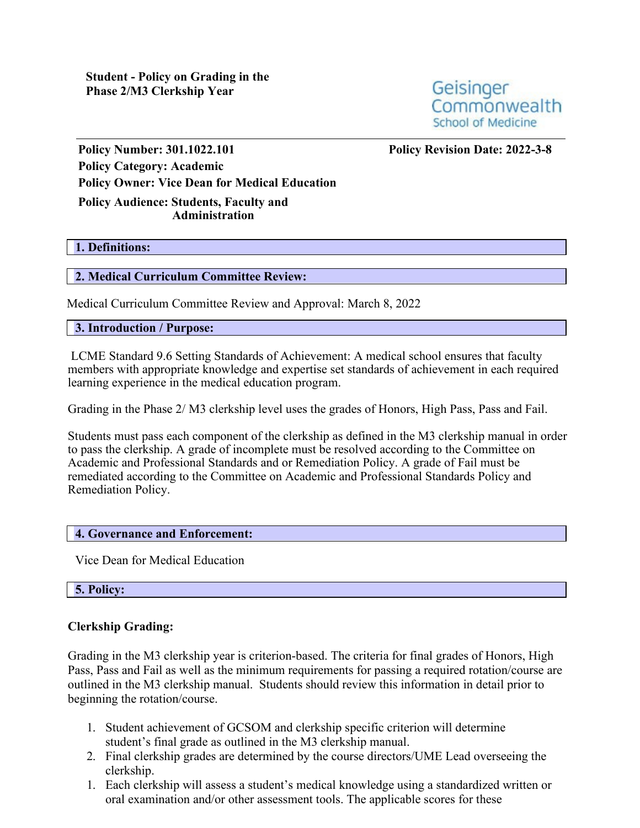Geisinger Commonwealth School of Medicine

**Policy Number: 301.1022.101 Policy Revision Date: 2022-3-8 Policy Category: Academic Policy Owner: Vice Dean for Medical Education Policy Audience: Students, Faculty and Administration**

#### **1. Definitions:**

#### **2. Medical Curriculum Committee Review:**

Medical Curriculum Committee Review and Approval: March 8, 2022

#### **3. Introduction / Purpose:**

LCME Standard 9.6 Setting Standards of Achievement: A medical school ensures that faculty members with appropriate knowledge and expertise set standards of achievement in each required learning experience in the medical education program.

Grading in the Phase 2/ M3 clerkship level uses the grades of Honors, High Pass, Pass and Fail.

Students must pass each component of the clerkship as defined in the M3 clerkship manual in order to pass the clerkship. A grade of incomplete must be resolved according to the Committee on Academic and Professional Standards and or Remediation Policy. A grade of Fail must be remediated according to the Committee on Academic and Professional Standards Policy and Remediation Policy.

#### **4. Governance and Enforcement:**

Vice Dean for Medical Education

## **5. Policy:**

## **Clerkship Grading:**

Grading in the M3 clerkship year is criterion-based. The criteria for final grades of Honors, High Pass, Pass and Fail as well as the minimum requirements for passing a required rotation/course are outlined in the M3 clerkship manual. Students should review this information in detail prior to beginning the rotation/course.

- 1. Student achievement of GCSOM and clerkship specific criterion will determine student's final grade as outlined in the M3 clerkship manual.
- 2. Final clerkship grades are determined by the course directors/UME Lead overseeing the clerkship.
- 1. Each clerkship will assess a student's medical knowledge using a standardized written or oral examination and/or other assessment tools. The applicable scores for these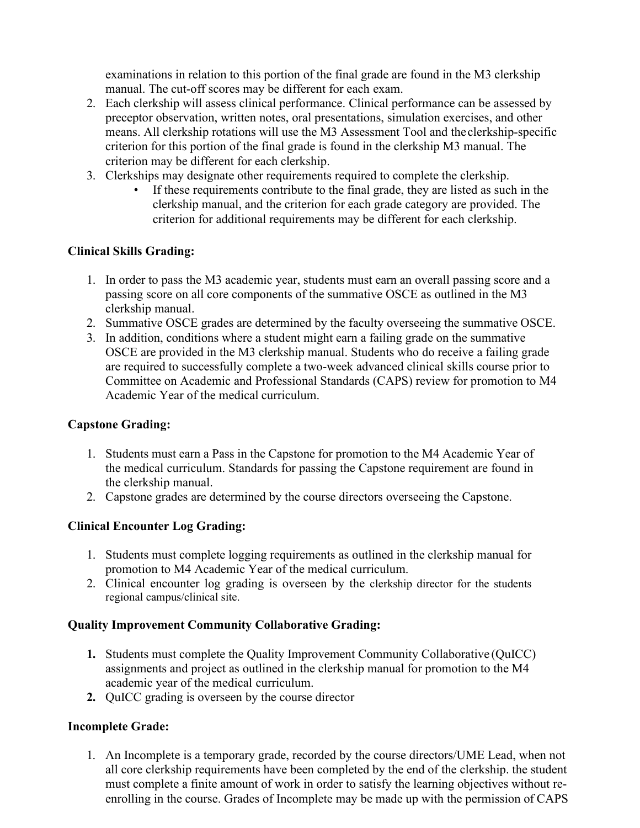examinations in relation to this portion of the final grade are found in the M3 clerkship manual. The cut-off scores may be different for each exam.

- 2. Each clerkship will assess clinical performance. Clinical performance can be assessed by preceptor observation, written notes, oral presentations, simulation exercises, and other means. All clerkship rotations will use the M3 Assessment Tool and the clerkship-specific criterion for this portion of the final grade is found in the clerkship M3 manual. The criterion may be different for each clerkship.
- 3. Clerkships may designate other requirements required to complete the clerkship.
	- If these requirements contribute to the final grade, they are listed as such in the clerkship manual, and the criterion for each grade category are provided. The criterion for additional requirements may be different for each clerkship.

# **Clinical Skills Grading:**

- 1. In order to pass the M3 academic year, students must earn an overall passing score and a passing score on all core components of the summative OSCE as outlined in the M3 clerkship manual.
- 2. Summative OSCE grades are determined by the faculty overseeing the summative OSCE.
- 3. In addition, conditions where a student might earn a failing grade on the summative OSCE are provided in the M3 clerkship manual. Students who do receive a failing grade are required to successfully complete a two-week advanced clinical skills course prior to Committee on Academic and Professional Standards (CAPS) review for promotion to M4 Academic Year of the medical curriculum.

# **Capstone Grading:**

- 1. Students must earn a Pass in the Capstone for promotion to the M4 Academic Year of the medical curriculum. Standards for passing the Capstone requirement are found in the clerkship manual.
- 2. Capstone grades are determined by the course directors overseeing the Capstone.

# **Clinical Encounter Log Grading:**

- 1. Students must complete logging requirements as outlined in the clerkship manual for promotion to M4 Academic Year of the medical curriculum.
- 2. Clinical encounter log grading is overseen by the clerkship director for the students regional campus/clinical site.

# **Quality Improvement Community Collaborative Grading:**

- **1.** Students must complete the Quality Improvement Community Collaborative (QuICC) assignments and project as outlined in the clerkship manual for promotion to the M4 academic year of the medical curriculum.
- **2.** QuICC grading is overseen by the course director

# **Incomplete Grade:**

1. An Incomplete is a temporary grade, recorded by the course directors/UME Lead, when not all core clerkship requirements have been completed by the end of the clerkship. the student must complete a finite amount of work in order to satisfy the learning objectives without reenrolling in the course. Grades of Incomplete may be made up with the permission of CAPS